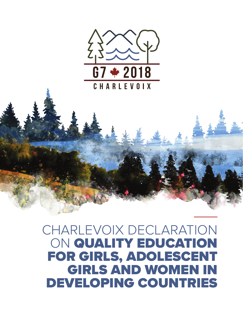

## CHARLEVOIX DECLARATION ON QUALITY EDUCATION FOR GIRLS, ADOLESCENT GIRLS AND WOMEN IN DEVELOPING COUNTRIES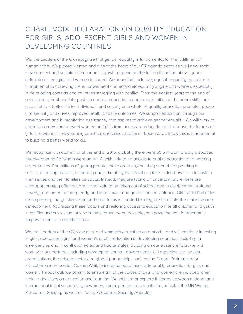## CHARLEVOIX DECLARATION ON QUALITY EDUCATION FOR GIRLS, ADOLESCENT GIRLS AND WOMEN IN DEVELOPING COUNTRIES

We, the Leaders of the G7, recognize that gender equality is fundamental for the fulfillment of human rights. We placed women and girls at the heart of our G7 agenda because we know social development and sustainable economic growth depend on the full participation of everyone – girls, adolescent girls and women included. We know that inclusive, equitable quality education is fundamental to achieving the empowerment and economic equality of girls and women, especially in developing contexts and countries struggling with conflict. From the earliest years to the end of secondary school and into post-secondary, education, equal opportunities and modern skills are essential to a better life for individuals and society as a whole. A quality education promotes peace and security and drives improved health and life outcomes. We support education, through our development and humanitarian assistance, that aspires to achieve gender equality. We will work to address barriers that prevent women and girls from accessing education and improve the futures of girls and women in developing countries and crisis situations—because we know this is fundamental to building a better world for all.

We recognize with alarm that at the end of 2016, globally there were 65.5 million forcibly displaced people, over half of whom were under 18, with little to no access to quality education and learning opportunities. For millions of young people, these are the years they should be spending in school, acquiring literacy, numeracy and, ultimately, transferable job skills to allow them to sustain themselves and their families as adults. Instead, they are facing an uncertain future. Girls are disproportionately affected, are more likely to be taken out of school due to displacement-related poverty, are forced to marry early and face sexual and gender-based violence. Girls with disabilities are especially marginalized and particular focus is needed to integrate them into the mainstream of development. Addressing these factors and restoring access to education for all children and youth in conflict and crisis situations, with the shortest delay possible, can pave the way for economic empowerment and a better future.

We, the Leaders of the G7, view girls' and women's education as a priority and will continue investing in girls', adolescent girls' and women's quality education in developing countries, including in emergencies and in conflict-affected and fragile states. Building on our existing efforts, we will work with our partners, including developing country governments, UN agencies, civil society organizations, the private sector and global partnerships such as the Global Partnership for Education and Education Cannot Wait, to increase equal access to quality education for girls and women. Throughout, we commit to ensuring that the voices of girls and women are included when making decisions on education and learning. We will further explore linkages between national and international initiatives relating to women, youth, peace and security; in particular, the UN Women, Peace and Security as well as Youth, Peace and Security Agendas.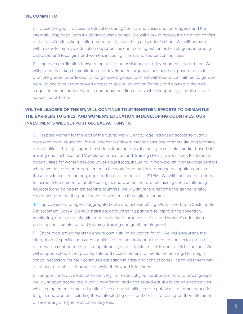## **WE COMMIT TO:**

1. Close the gap in access to education during conflict and crisis, and for refugees and the internally displaced, both inside and outside camps: We will work to reduce the time that conflict and crisis situations keep children and youth, especially girls, out of school. We will promote, with a view to improve, education opportunities and learning outcomes for refugees, internallydisplaced and local girls and women, including in host and source communities.

2. Improve coordination between humanitarian assistance and development cooperation: We will partner with key humanitarian and development organizations and host governments to promote greater coordination among these organizations. We will ensure commitment to gender equality and prioritize improved access to quality education for girls and women in the early stages of humanitarian response and peacebuilding efforts, while supporting schools as safe spaces for children.

## **WE, THE LEADERS OF THE G7, WILL CONTINUE TO STRENGTHEN EFFORTS TO DISMANTLE THE BARRIERS TO GIRLS' AND WOMEN'S EDUCATION IN DEVELOPING COUNTRIES. OUR INVESTMENTS WILL SUPPORT GLOBAL ACTIONS TO:**

3. Prepare women for the jobs of the future: We will encourage increased access to quality post-secondary education, foster innovative delivery mechanisms and promote lifelong learning opportunities. Through support to various learning tools, including accessible, market-based skills training and Technical and Vocational Education and Training (TVET), we will seek to increase opportunities for women beyond lower-skilled jobs, including in high-growth, higher-wage sectors where women are underrepresented in the work force and in in-demand occupations, such as those in science, technology, engineering and mathematics (STEM). We will continue our efforts to increase the number of adolescent girls and women that are technically and vocationallyeducated and trained in developing countries. We will strive to overcome the gender digital divide and promote the participation of women in the digital economy.

4. Improve sex- and age-disaggregated data and accountability: We will work with Sustainable Development Goal 4, 5 and 8 statistical accountability partners to improve the collection, monitoring, analysis, publication and reporting of progress in girls' and women's education participation, completion and learning, training and youth employment.

5. Encourage governments to ensure continuity of education for all: We will encourage the integration of specific measures for girls' education throughout the education sector plans of our development partners, including planning in anticipation of crisis and conflict situations. We will support schools that provide safe and accessible environments for learning. Not only is school necessary for their continued education in crisis and conflict zones, it provides them with emotional and physical protection while their world is in chaos.

6. Support innovative education delivery: For especially vulnerable and hard to reach groups, we will support accredited, quality, non-formal and accelerated equal education opportunities which complement formal education. These opportunities create pathways to formal education for girls and women, including those affected by crisis and conflict, and support their attainment of secondary or higher-education degrees.